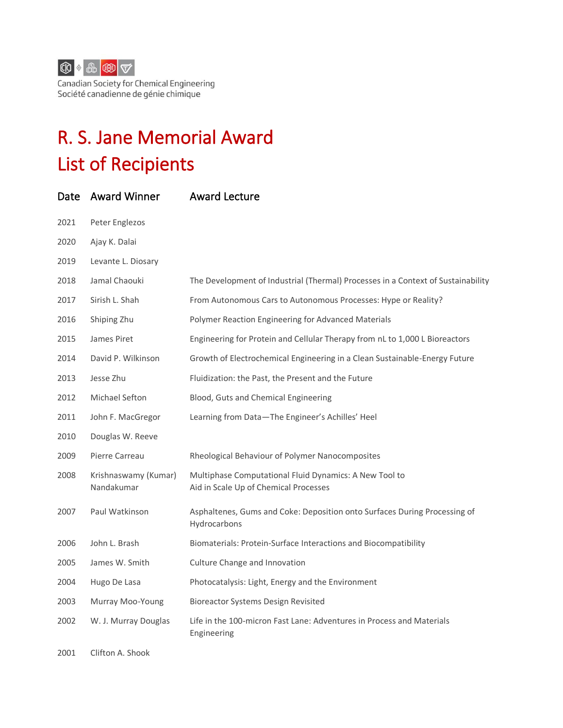

Canadian Society for Chemical Engineering Société canadienne de génie chimique

## R. S. Jane Memorial Award List of Recipients

| Date | <b>Award Winner</b>                | <b>Award Lecture</b>                                                                            |
|------|------------------------------------|-------------------------------------------------------------------------------------------------|
| 2021 | Peter Englezos                     |                                                                                                 |
| 2020 | Ajay K. Dalai                      |                                                                                                 |
| 2019 | Levante L. Diosary                 |                                                                                                 |
| 2018 | Jamal Chaouki                      | The Development of Industrial (Thermal) Processes in a Context of Sustainability                |
| 2017 | Sirish L. Shah                     | From Autonomous Cars to Autonomous Processes: Hype or Reality?                                  |
| 2016 | Shiping Zhu                        | Polymer Reaction Engineering for Advanced Materials                                             |
| 2015 | James Piret                        | Engineering for Protein and Cellular Therapy from nL to 1,000 L Bioreactors                     |
| 2014 | David P. Wilkinson                 | Growth of Electrochemical Engineering in a Clean Sustainable-Energy Future                      |
| 2013 | Jesse Zhu                          | Fluidization: the Past, the Present and the Future                                              |
| 2012 | <b>Michael Sefton</b>              | Blood, Guts and Chemical Engineering                                                            |
| 2011 | John F. MacGregor                  | Learning from Data-The Engineer's Achilles' Heel                                                |
| 2010 | Douglas W. Reeve                   |                                                                                                 |
| 2009 | Pierre Carreau                     | Rheological Behaviour of Polymer Nanocomposites                                                 |
| 2008 | Krishnaswamy (Kumar)<br>Nandakumar | Multiphase Computational Fluid Dynamics: A New Tool to<br>Aid in Scale Up of Chemical Processes |
| 2007 | Paul Watkinson                     | Asphaltenes, Gums and Coke: Deposition onto Surfaces During Processing of<br>Hydrocarbons       |
| 2006 | John L. Brash                      | Biomaterials: Protein-Surface Interactions and Biocompatibility                                 |
| 2005 | James W. Smith                     | Culture Change and Innovation                                                                   |
| 2004 | Hugo De Lasa                       | Photocatalysis: Light, Energy and the Environment                                               |
| 2003 | Murray Moo-Young                   | <b>Bioreactor Systems Design Revisited</b>                                                      |
| 2002 | W. J. Murray Douglas               | Life in the 100-micron Fast Lane: Adventures in Process and Materials<br>Engineering            |
| 2001 | Clifton A. Shook                   |                                                                                                 |